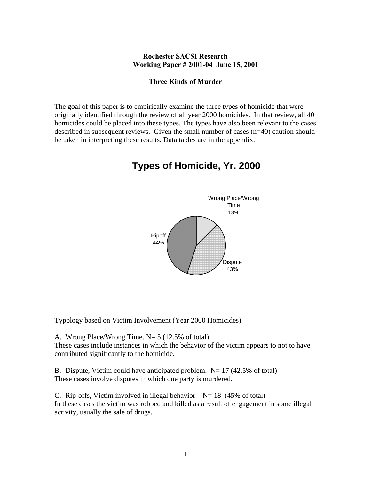# **Rochester SACSI Research Working Paper # 2001-04 June 15, 2001**

### **Three Kinds of Murder**

The goal of this paper is to empirically examine the three types of homicide that were originally identified through the review of all year 2000 homicides. In that review, all 40 homicides could be placed into these types. The types have also been relevant to the cases described in subsequent reviews. Given the small number of cases (n=40) caution should be taken in interpreting these results. Data tables are in the appendix.

# Wrong Place/Wrong Time 13% **Dispute** 43% Ripoff 44%

# **Types of Homicide, Yr. 2000**

Typology based on Victim Involvement (Year 2000 Homicides)

A. Wrong Place/Wrong Time. N= 5 (12.5% of total) These cases include instances in which the behavior of the victim appears to not to have contributed significantly to the homicide.

B. Dispute, Victim could have anticipated problem.  $N= 17$  (42.5% of total) These cases involve disputes in which one party is murdered.

C. Rip-offs, Victim involved in illegal behavior  $N= 18$  (45% of total) In these cases the victim was robbed and killed as a result of engagement in some illegal activity, usually the sale of drugs.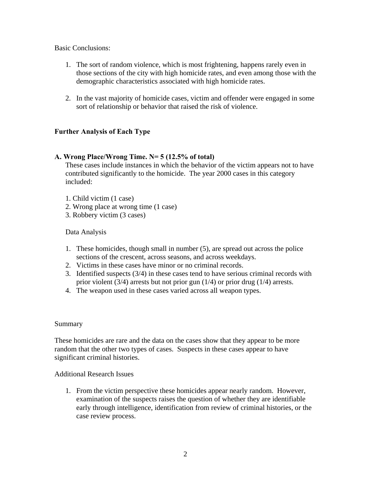# Basic Conclusions:

- 1. The sort of random violence, which is most frightening, happens rarely even in those sections of the city with high homicide rates, and even among those with the demographic characteristics associated with high homicide rates.
- 2. In the vast majority of homicide cases, victim and offender were engaged in some sort of relationship or behavior that raised the risk of violence.

# **Further Analysis of Each Type**

# **A. Wrong Place/Wrong Time. N= 5 (12.5% of total)**

These cases include instances in which the behavior of the victim appears not to have contributed significantly to the homicide. The year 2000 cases in this category included:

- 1. Child victim (1 case)
- 2. Wrong place at wrong time (1 case)
- 3. Robbery victim (3 cases)

# Data Analysis

- 1. These homicides, though small in number (5), are spread out across the police sections of the crescent, across seasons, and across weekdays.
- 2. Victims in these cases have minor or no criminal records.
- 3. Identified suspects (3/4) in these cases tend to have serious criminal records with prior violent (3/4) arrests but not prior gun (1/4) or prior drug (1/4) arrests.
- 4. The weapon used in these cases varied across all weapon types.

# Summary

These homicides are rare and the data on the cases show that they appear to be more random that the other two types of cases. Suspects in these cases appear to have significant criminal histories.

# Additional Research Issues

1. From the victim perspective these homicides appear nearly random. However, examination of the suspects raises the question of whether they are identifiable early through intelligence, identification from review of criminal histories, or the case review process.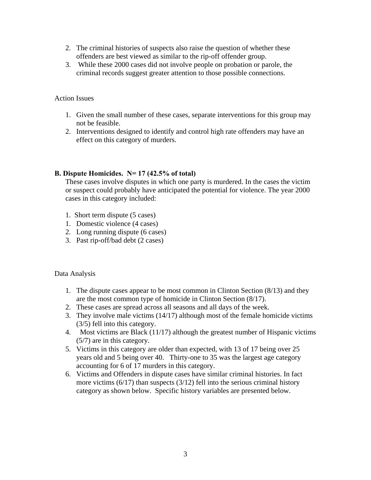- 2. The criminal histories of suspects also raise the question of whether these offenders are best viewed as similar to the rip-off offender group.
- 3. While these 2000 cases did not involve people on probation or parole, the criminal records suggest greater attention to those possible connections.

# Action Issues

- 1. Given the small number of these cases, separate interventions for this group may not be feasible.
- 2. Interventions designed to identify and control high rate offenders may have an effect on this category of murders.

# **B. Dispute Homicides. N= 17 (42.5% of total)**

These cases involve disputes in which one party is murdered. In the cases the victim or suspect could probably have anticipated the potential for violence. The year 2000 cases in this category included:

- 1. Short term dispute (5 cases)
- 1. Domestic violence (4 cases)
- 2. Long running dispute (6 cases)
- 3. Past rip-off/bad debt (2 cases)

# Data Analysis

- 1. The dispute cases appear to be most common in Clinton Section (8/13) and they are the most common type of homicide in Clinton Section (8/17).
- 2. These cases are spread across all seasons and all days of the week.
- 3. They involve male victims (14/17) although most of the female homicide victims (3/5) fell into this category.
- 4. Most victims are Black (11/17) although the greatest number of Hispanic victims (5/7) are in this category.
- 5. Victims in this category are older than expected, with 13 of 17 being over 25 years old and 5 being over 40. Thirty-one to 35 was the largest age category accounting for 6 of 17 murders in this category.
- 6. Victims and Offenders in dispute cases have similar criminal histories. In fact more victims (6/17) than suspects (3/12) fell into the serious criminal history category as shown below. Specific history variables are presented below.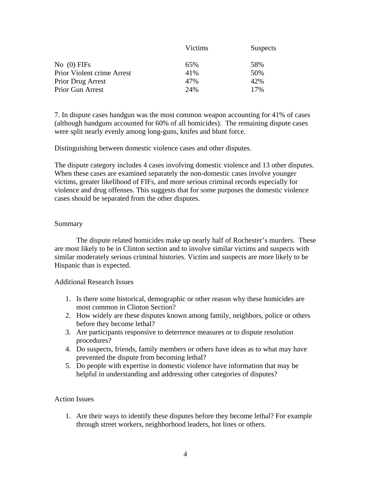| Victims | <b>Suspects</b> |
|---------|-----------------|
| 65%     | 58%             |
| 41%     | 50%             |
| 47%     | 42%             |
| 24%     | 17%             |
|         |                 |

7. In dispute cases handgun was the most common weapon accounting for 41% of cases (although handguns accounted for 60% of all homicides). The remaining dispute cases were split nearly evenly among long-guns, knifes and blunt force.

Distinguishing between domestic violence cases and other disputes.

The dispute category includes 4 cases involving domestic violence and 13 other disputes. When these cases are examined separately the non-domestic cases involve younger victims, greater likelihood of FIFs, and more serious criminal records especially for violence and drug offenses. This suggests that for some purposes the domestic violence cases should be separated from the other disputes.

### Summary

 The dispute related homicides make up nearly half of Rochester's murders. These are most likely to be in Clinton section and to involve similar victims and suspects with similar moderately serious criminal histories. Victim and suspects are more likely to be Hispanic than is expected.

### Additional Research Issues

- 1. Is there some historical, demographic or other reason why these homicides are most common in Clinton Section?
- 2. How widely are these disputes known among family, neighbors, police or others before they become lethal?
- 3. Are participants responsive to deterrence measures or to dispute resolution procedures?
- 4. Do suspects, friends, family members or others have ideas as to what may have prevented the dispute from becoming lethal?
- 5. Do people with expertise in domestic violence have information that may be helpful in understanding and addressing other categories of disputes?

# Action Issues

1. Are their ways to identify these disputes before they become lethal? For example through street workers, neighborhood leaders, hot lines or others.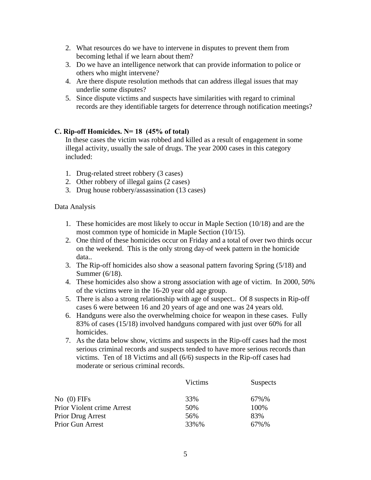- 2. What resources do we have to intervene in disputes to prevent them from becoming lethal if we learn about them?
- 3. Do we have an intelligence network that can provide information to police or others who might intervene?
- 4. Are there dispute resolution methods that can address illegal issues that may underlie some disputes?
- 5. Since dispute victims and suspects have similarities with regard to criminal records are they identifiable targets for deterrence through notification meetings?

# **C. Rip-off Homicides. N= 18 (45% of total)**

In these cases the victim was robbed and killed as a result of engagement in some illegal activity, usually the sale of drugs. The year 2000 cases in this category included:

- 1. Drug-related street robbery (3 cases)
- 2. Other robbery of illegal gains (2 cases)
- 3. Drug house robbery/assassination (13 cases)

### Data Analysis

- 1. These homicides are most likely to occur in Maple Section (10/18) and are the most common type of homicide in Maple Section (10/15).
- 2. One third of these homicides occur on Friday and a total of over two thirds occur on the weekend. This is the only strong day-of week pattern in the homicide data..
- 3. The Rip-off homicides also show a seasonal pattern favoring Spring (5/18) and Summer (6/18).
- 4. These homicides also show a strong association with age of victim. In 2000, 50% of the victims were in the 16-20 year old age group.
- 5. There is also a strong relationship with age of suspect.. Of 8 suspects in Rip-off cases 6 were between 16 and 20 years of age and one was 24 years old.
- 6. Handguns were also the overwhelming choice for weapon in these cases. Fully 83% of cases (15/18) involved handguns compared with just over 60% for all homicides.
- 7. As the data below show, victims and suspects in the Rip-off cases had the most serious criminal records and suspects tended to have more serious records than victims. Ten of 18 Victims and all (6/6) suspects in the Rip-off cases had moderate or serious criminal records.

|                            | Victims | <b>Suspects</b> |
|----------------------------|---------|-----------------|
| $No$ (0) FIFs              | 33%     | 67%%            |
| Prior Violent crime Arrest | 50%     | 100%            |
| <b>Prior Drug Arrest</b>   | 56%     | 83%             |
| Prior Gun Arrest           | 33%%    | 67%%            |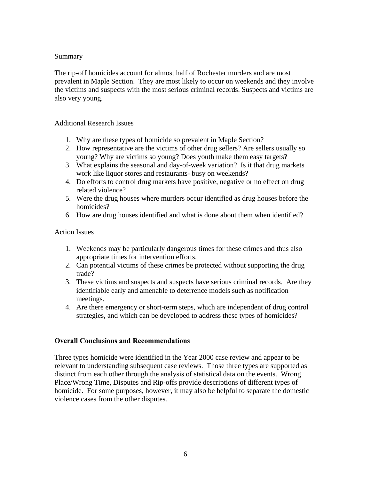# **Summary**

The rip-off homicides account for almost half of Rochester murders and are most prevalent in Maple Section. They are most likely to occur on weekends and they involve the victims and suspects with the most serious criminal records. Suspects and victims are also very young.

# Additional Research Issues

- 1. Why are these types of homicide so prevalent in Maple Section?
- 2. How representative are the victims of other drug sellers? Are sellers usually so young? Why are victims so young? Does youth make them easy targets?
- 3. What explains the seasonal and day-of-week variation? Is it that drug markets work like liquor stores and restaurants- busy on weekends?
- 4. Do efforts to control drug markets have positive, negative or no effect on drug related violence?
- 5. Were the drug houses where murders occur identified as drug houses before the homicides?
- 6. How are drug houses identified and what is done about them when identified?

# Action Issues

- 1. Weekends may be particularly dangerous times for these crimes and thus also appropriate times for intervention efforts.
- 2. Can potential victims of these crimes be protected without supporting the drug trade?
- 3. These victims and suspects and suspects have serious criminal records. Are they identifiable early and amenable to deterrence models such as notification meetings.
- 4. Are there emergency or short-term steps, which are independent of drug control strategies, and which can be developed to address these types of homicides?

# **Overall Conclusions and Recommendations**

Three types homicide were identified in the Year 2000 case review and appear to be relevant to understanding subsequent case reviews. Those three types are supported as distinct from each other through the analysis of statistical data on the events. Wrong Place/Wrong Time, Disputes and Rip-offs provide descriptions of different types of homicide. For some purposes, however, it may also be helpful to separate the domestic violence cases from the other disputes.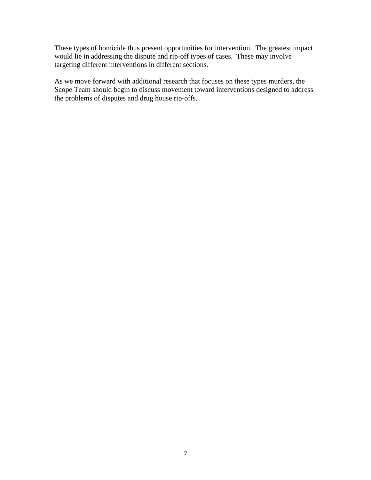These types of homicide thus present opportunities for intervention. The greatest impact would lie in addressing the dispute and rip-off types of cases. These may involve targeting different interventions in different sections.

As we move forward with additional research that focuses on these types murders, the Scope Team should begin to discuss movement toward interventions designed to address the problems of disputes and drug house rip-offs.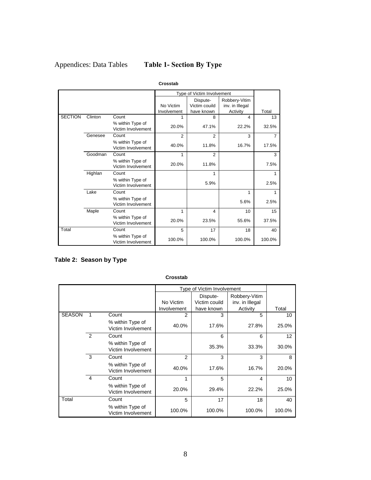# Appendices: Data Tables **Table 1- Section By Type**

|                |         |                                        |             | Type of Victim Involvement |                 |                |
|----------------|---------|----------------------------------------|-------------|----------------------------|-----------------|----------------|
|                |         |                                        |             | Dispute-                   | Robbery-Vitim   |                |
|                |         |                                        | No Victim   | Victim couild              | inv. in Illegal |                |
|                |         |                                        | Involvement | have known                 | Activity        | Total          |
| <b>SECTION</b> | Clinton | Count                                  |             | 8                          | 4               | 13             |
|                |         | % within Type of<br>Victim Involvement | 20.0%       | 47.1%                      | 22.2%           | 32.5%          |
|                | Genesee | Count                                  | 2           | $\overline{2}$             | 3               | $\overline{7}$ |
|                |         | % within Type of<br>Victim Involvement | 40.0%       | 11.8%                      | 16.7%           | 17.5%          |
|                | Goodman | Count                                  | 1           | $\overline{2}$             |                 | 3              |
|                |         | % within Type of<br>Victim Involvement | 20.0%       | 11.8%                      |                 | 7.5%           |
|                | Highlan | Count                                  |             | 1                          |                 | 1              |
|                |         | % within Type of<br>Victim Involvement |             | 5.9%                       |                 | 2.5%           |
|                | Lake    | Count                                  |             |                            | 1               | 1              |
|                |         | % within Type of<br>Victim Involvement |             |                            | 5.6%            | 2.5%           |
|                | Maple   | Count                                  | 1           | 4                          | 10              | 15             |
|                |         | % within Type of<br>Victim Involvement | 20.0%       | 23.5%                      | 55.6%           | 37.5%          |
| Total          |         | Count                                  | 5           | 17                         | 18              | 40             |
|                |         | % within Type of<br>Victim Involvement | 100.0%      | 100.0%                     | 100.0%          | 100.0%         |

#### **Crosstab**

# **Table 2: Season by Type**

|               |                         |                                        |                | Type of Victim Involvement |                                  |        |  |
|---------------|-------------------------|----------------------------------------|----------------|----------------------------|----------------------------------|--------|--|
|               |                         |                                        | No Victim      | Dispute-<br>Victim couild  | Robbery-Vitim<br>inv. in Illegal |        |  |
|               |                         |                                        | Involvement    | have known                 | Activity                         | Total  |  |
| <b>SEASON</b> |                         | Count                                  | 2              | 3                          | 5                                | 10     |  |
|               |                         | % within Type of<br>Victim Involvement | 40.0%          | 17.6%                      | 27.8%                            | 25.0%  |  |
|               | 2                       | Count                                  |                | 6                          | 6                                | 12     |  |
|               |                         | % within Type of<br>Victim Involvement |                | 35.3%                      | 33.3%                            | 30.0%  |  |
|               | 3                       | Count                                  | $\overline{2}$ | 3                          | 3                                | 8      |  |
|               |                         | % within Type of<br>Victim Involvement | 40.0%          | 17.6%                      | 16.7%                            | 20.0%  |  |
|               | $\overline{\mathbf{4}}$ | Count                                  | 1              | 5                          | 4                                | 10     |  |
|               |                         | % within Type of<br>Victim Involvement | 20.0%          | 29.4%                      | 22.2%                            | 25.0%  |  |
| Total         |                         | Count                                  | 5              | 17                         | 18                               | 40     |  |
|               |                         | % within Type of<br>Victim Involvement | 100.0%         | 100.0%                     | 100.0%                           | 100.0% |  |

#### **Crosstab**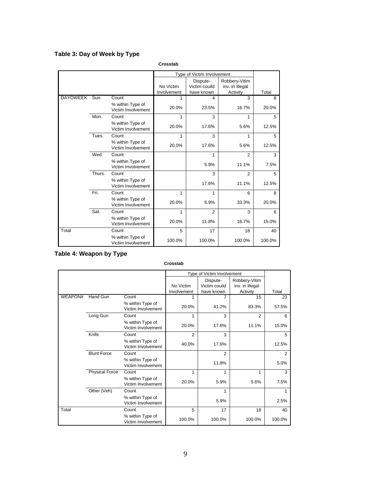# **Table 3: Day of Week by Type**

**Crosstab**

|                 |        |                                        |             | Type of Victim Involvement |                 |        |
|-----------------|--------|----------------------------------------|-------------|----------------------------|-----------------|--------|
|                 |        |                                        |             | Dispute-                   | Robbery-Vitim   |        |
|                 |        |                                        | No Victim   | Victim couild              | inv. in Illegal |        |
|                 |        |                                        | Involvement | have known                 | Activity        | Total  |
| <b>DAYOWEEK</b> | Sun.   | Count                                  | 1           | 4                          | 3               | 8      |
|                 |        | % within Type of<br>Victim Involvement | 20.0%       | 23.5%                      | 16.7%           | 20.0%  |
|                 | Mon.   | Count                                  | 1           | 3                          | 1               | 5      |
|                 |        | % within Type of<br>Victim Involvement | 20.0%       | 17.6%                      | 5.6%            | 12.5%  |
|                 | Tues.  | Count                                  | 1           | 3                          | 1               | 5      |
|                 |        | % within Type of<br>Victim Involvement | 20.0%       | 17.6%                      | 5.6%            | 12.5%  |
|                 | Wed.   | Count                                  |             | 1                          | $\overline{2}$  | 3      |
|                 |        | % within Type of<br>Victim Involvement |             | 5.9%                       | 11.1%           | 7.5%   |
|                 | Thurs. | Count                                  |             | 3                          | $\overline{2}$  | 5      |
|                 |        | % within Type of<br>Victim Involvement |             | 17.6%                      | 11.1%           | 12.5%  |
|                 | Fri.   | Count                                  | 1           | 1                          | 6               | 8      |
|                 |        | % within Type of<br>Victim Involvement | 20.0%       | 5.9%                       | 33.3%           | 20.0%  |
|                 | Sat.   | Count                                  | 1           | $\overline{2}$             | 3               | 6      |
|                 |        | % within Type of<br>Victim Involvement | 20.0%       | 11.8%                      | 16.7%           | 15.0%  |
| Total           |        | Count                                  | 5           | 17                         | 18              | 40     |
|                 |        | % within Type of<br>Victim Involvement | 100.0%      | 100.0%                     | 100.0%          | 100.0% |

# **Table 4: Weapon by Type**

**Crosstab**

|                |                       |                                        |                | Type of Victim Involvement |                 |        |
|----------------|-----------------------|----------------------------------------|----------------|----------------------------|-----------------|--------|
|                |                       |                                        |                | Dispute-                   | Robbery-Vitim   |        |
|                |                       |                                        | No Victim      | Victim couild              | inv. in Illegal |        |
|                |                       |                                        | Involvement    | have known                 | Activity        | Total  |
| <b>WEAPON#</b> | <b>Hand Gun</b>       | Count                                  | 1              | 7                          | 15              | 23     |
|                |                       | % within Type of<br>Victim Involvement | 20.0%          | 41.2%                      | 83.3%           | 57.5%  |
|                | Long Gun              | Count                                  | 1              | 3                          | 2               | 6      |
|                |                       | % within Type of<br>Victim Involvement | 20.0%          | 17.6%                      | 11.1%           | 15.0%  |
|                | Knife                 | Count                                  | $\overline{2}$ | 3                          |                 | 5      |
|                |                       | % within Type of<br>Victim Involvement | 40.0%          | 17.6%                      |                 | 12.5%  |
|                | <b>Blunt Force</b>    | Count                                  |                | 2                          |                 | 2      |
|                |                       | % within Type of<br>Victim Involvement |                | 11.8%                      |                 | 5.0%   |
|                | <b>Physical Force</b> | Count                                  | 1              | 1                          | 1               | 3      |
|                |                       | % within Type of<br>Victim Involvement | 20.0%          | 5.9%                       | 5.6%            | 7.5%   |
|                | Other (Veh)           | Count                                  |                | 1                          |                 | 1      |
|                |                       | % within Type of<br>Victim Involvement |                | 5.9%                       |                 | 2.5%   |
| Total          |                       | Count                                  | 5              | 17                         | 18              | 40     |
|                |                       | % within Type of<br>Victim Involvement | 100.0%         | 100.0%                     | 100.0%          | 100.0% |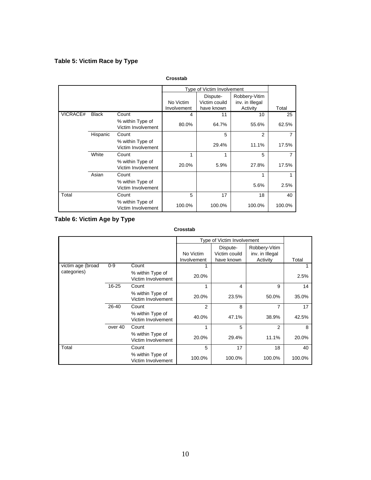# **Table 5: Victim Race by Type**

|          |              |                                        |                          | Type of Victim Involvement  |                             |        |
|----------|--------------|----------------------------------------|--------------------------|-----------------------------|-----------------------------|--------|
|          |              |                                        |                          | Dispute-                    | Robbery-Vitim               |        |
|          |              |                                        | No Victim<br>Involvement | Victim couild<br>have known | inv. in Illegal<br>Activity | Total  |
| VICRACE# | <b>Black</b> | Count                                  | 4                        | 11                          | 10                          | 25     |
|          |              | % within Type of<br>Victim Involvement | 80.0%                    | 64.7%                       | 55.6%                       | 62.5%  |
|          | Hispanic     | Count                                  |                          | 5                           | 2                           | 7      |
|          |              | % within Type of<br>Victim Involvement |                          | 29.4%                       | 11.1%                       | 17.5%  |
|          | White        | Count                                  | 1                        | 1                           | 5                           | 7      |
|          |              | % within Type of<br>Victim Involvement | 20.0%                    | 5.9%                        | 27.8%                       | 17.5%  |
|          | Asian        | Count                                  |                          |                             | 1                           |        |
|          |              | % within Type of<br>Victim Involvement |                          |                             | 5.6%                        | 2.5%   |
| Total    |              | Count                                  | 5                        | 17                          | 18                          | 40     |
|          |              | % within Type of<br>Victim Involvement | 100.0%                   | 100.0%                      | 100.0%                      | 100.0% |

### **Crosstab**

# **Table 6: Victim Age by Type**

#### **Crosstab**

|                   |         |                                        |                | Type of Victim Involvement |                                  |        |
|-------------------|---------|----------------------------------------|----------------|----------------------------|----------------------------------|--------|
|                   |         |                                        | No Victim      | Dispute-<br>Victim couild  | Robbery-Vitim<br>inv. in Illegal |        |
|                   |         |                                        | Involvement    | have known                 | Activity                         | Total  |
| victim age (broad | $0 - 9$ | Count                                  |                |                            |                                  |        |
| categories)       |         | % within Type of<br>Victim Involvement | 20.0%          |                            |                                  | 2.5%   |
|                   | 16-25   | Count                                  |                | 4                          | 9                                | 14     |
|                   |         | % within Type of<br>Victim Involvement | 20.0%          | 23.5%                      | 50.0%                            | 35.0%  |
|                   | 26-40   | Count                                  | $\overline{2}$ | 8                          | 7                                | 17     |
|                   |         | % within Type of<br>Victim Involvement | 40.0%          | 47.1%                      | 38.9%                            | 42.5%  |
|                   | over 40 | Count                                  |                | 5                          | 2                                | 8      |
|                   |         | % within Type of<br>Victim Involvement | 20.0%          | 29.4%                      | 11.1%                            | 20.0%  |
| Total             |         | Count                                  | 5              | 17                         | 18                               | 40     |
|                   |         | % within Type of<br>Victim Involvement | 100.0%         | 100.0%                     | 100.0%                           | 100.0% |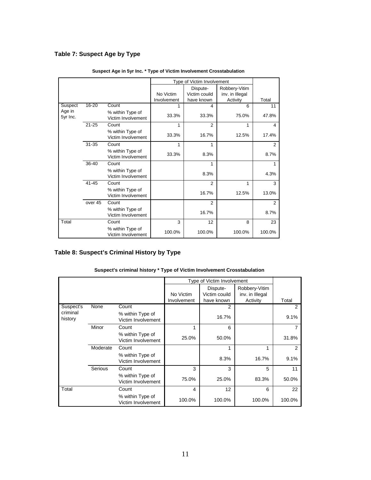# **Table 7: Suspect Age by Type**

|                    |           |                                        |             | Type of Victim Involvement |                 |                |
|--------------------|-----------|----------------------------------------|-------------|----------------------------|-----------------|----------------|
|                    |           |                                        |             | Dispute-                   | Robbery-Vitim   |                |
|                    |           |                                        | No Victim   | Victim couild              | inv. in Illegal |                |
|                    |           |                                        | Involvement | have known                 | Activity        | Total          |
| Suspect            | $16 - 20$ | Count                                  | 1           | 4                          | 6               | 11             |
| Age in<br>5yr Inc. |           | % within Type of<br>Victim Involvement | 33.3%       | 33.3%                      | 75.0%           | 47.8%          |
|                    | $21 - 25$ | Count                                  | 1           | 2                          | 1               | 4              |
|                    |           | % within Type of<br>Victim Involvement | 33.3%       | 16.7%                      | 12.5%           | 17.4%          |
|                    | $31 - 35$ | Count                                  | 1           | 1                          |                 | $\overline{2}$ |
|                    |           | % within Type of<br>Victim Involvement | 33.3%       | 8.3%                       |                 | 8.7%           |
|                    | $36-40$   | Count                                  |             | 1                          |                 |                |
|                    |           | % within Type of<br>Victim Involvement |             | 8.3%                       |                 | 4.3%           |
|                    | $41 - 45$ | Count                                  |             | $\overline{2}$             | 1               | 3              |
|                    |           | % within Type of<br>Victim Involvement |             | 16.7%                      | 12.5%           | 13.0%          |
|                    | over 45   | Count                                  |             | $\overline{2}$             |                 | $\overline{2}$ |
|                    |           | % within Type of<br>Victim Involvement |             | 16.7%                      |                 | 8.7%           |
| Total              |           | Count                                  | 3           | 12                         | 8               | 23             |
|                    |           | % within Type of<br>Victim Involvement | 100.0%      | 100.0%                     | 100.0%          | 100.0%         |

### **Suspect Age in 5yr Inc. \* Type of Victim Involvement Crosstabulation**

# **Table 8: Suspect's Criminal History by Type**

|                     |          |                                        |             | Type of Victim Involvement |                 |        |
|---------------------|----------|----------------------------------------|-------------|----------------------------|-----------------|--------|
|                     |          |                                        |             | Dispute-                   | Robbery-Vitim   |        |
|                     |          |                                        | No Victim   | Victim couild              | inv. in Illegal |        |
|                     |          |                                        | Involvement | have known                 | Activity        | Total  |
| Suspect's           | None     | Count                                  |             | 2                          |                 | 2      |
| criminal<br>history |          | % within Type of<br>Victim Involvement |             | 16.7%                      |                 | 9.1%   |
|                     | Minor    | Count                                  | 1           | 6                          |                 | 7      |
|                     |          | % within Type of<br>Victim Involvement | 25.0%       | 50.0%                      |                 | 31.8%  |
|                     | Moderate | Count                                  |             | 1                          | 1               | 2      |
|                     |          | % within Type of<br>Victim Involvement |             | 8.3%                       | 16.7%           | 9.1%   |
|                     | Serious  | Count                                  | 3           | 3                          | 5               | 11     |
|                     |          | % within Type of<br>Victim Involvement | 75.0%       | 25.0%                      | 83.3%           | 50.0%  |
| Total               |          | Count                                  | 4           | 12                         | 6               | 22     |
|                     |          | % within Type of<br>Victim Involvement | 100.0%      | 100.0%                     | 100.0%          | 100.0% |

### **Suspect's criminal history \* Type of Victim Involvement Crosstabulation**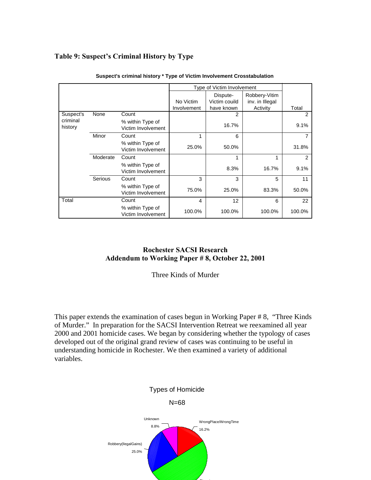# **Table 9: Suspect's Criminal History by Type**

|                     |          |                                        |             | Type of Victim Involvement |                                  |        |
|---------------------|----------|----------------------------------------|-------------|----------------------------|----------------------------------|--------|
|                     |          |                                        | No Victim   | Dispute-<br>Victim couild  | Robbery-Vitim<br>inv. in Illegal |        |
|                     |          |                                        | Involvement | have known                 | Activity                         | Total  |
| Suspect's           | None     | Count                                  |             | 2                          |                                  | 2      |
| criminal<br>history |          | % within Type of<br>Victim Involvement |             | 16.7%                      |                                  | 9.1%   |
|                     | Minor    | Count                                  | 1           | 6                          |                                  | 7      |
|                     |          | % within Type of<br>Victim Involvement | 25.0%       | 50.0%                      |                                  | 31.8%  |
|                     | Moderate | Count                                  |             |                            | 1                                | 2      |
|                     |          | % within Type of<br>Victim Involvement |             | 8.3%                       | 16.7%                            | 9.1%   |
|                     | Serious  | Count                                  | 3           | 3                          | 5                                | 11     |
|                     |          | % within Type of<br>Victim Involvement | 75.0%       | 25.0%                      | 83.3%                            | 50.0%  |
| Total               |          | Count                                  | 4           | 12                         | 6                                | 22     |
|                     |          | % within Type of<br>Victim Involvement | 100.0%      | 100.0%                     | 100.0%                           | 100.0% |

**Suspect's criminal history \* Type of Victim Involvement Crosstabulation**

# **Rochester SACSI Research Addendum to Working Paper # 8, October 22, 2001**

Three Kinds of Murder

This paper extends the examination of cases begun in Working Paper # 8, "Three Kinds of Murder." In preparation for the SACSI Intervention Retreat we reexamined all year 2000 and 2001 homicide cases. We began by considering whether the typology of cases developed out of the original grand review of cases was continuing to be useful in understanding homicide in Rochester. We then examined a variety of additional variables.



 $-$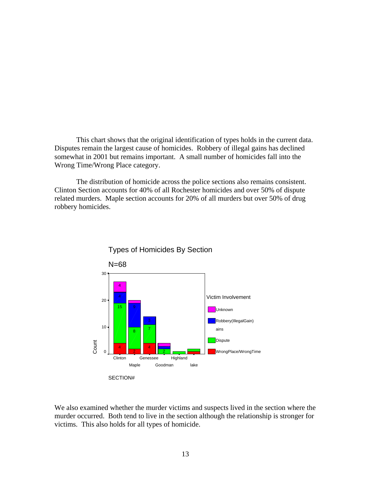This chart shows that the original identification of types holds in the current data. Disputes remain the largest cause of homicides. Robbery of illegal gains has declined somewhat in 2001 but remains important. A small number of homicides fall into the Wrong Time/Wrong Place category.

 The distribution of homicide across the police sections also remains consistent. Clinton Section accounts for 40% of all Rochester homicides and over 50% of dispute related murders. Maple section accounts for 20% of all murders but over 50% of drug robbery homicides.



We also examined whether the murder victims and suspects lived in the section where the murder occurred. Both tend to live in the section although the relationship is stronger for victims. This also holds for all types of homicide.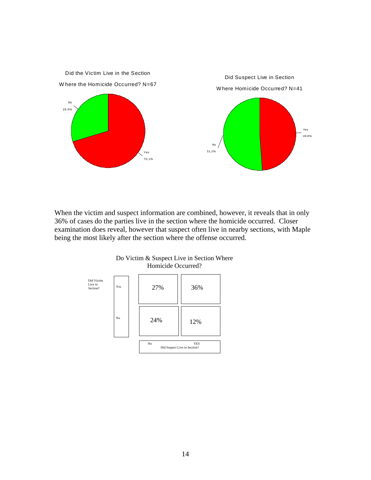

When the victim and suspect information are combined, however, it reveals that in only 36% of cases do the parties live in the section where the homicide occurred. Closer examination does reveal, however that suspect often live in nearby sections, with Maple being the most likely after the section where the offense occurred.



Do Victim & Suspect Live in Section Where Homicide Occurred?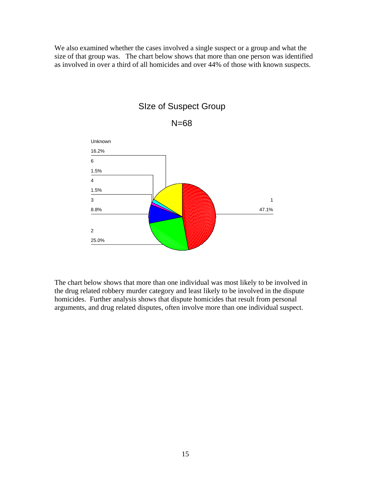We also examined whether the cases involved a single suspect or a group and what the size of that group was. The chart below shows that more than one person was identified as involved in over a third of all homicides and over 44% of those with known suspects.



# SIze of Suspect Group

N=68

The chart below shows that more than one individual was most likely to be involved in the drug related robbery murder category and least likely to be involved in the dispute homicides. Further analysis shows that dispute homicides that result from personal arguments, and drug related disputes, often involve more than one individual suspect.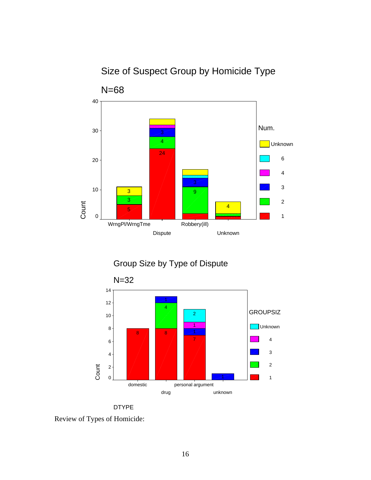# Size of Suspect Group by Homicide Type



Group Size by Type of Dispute



DTYPE

Review of Types of Homicide: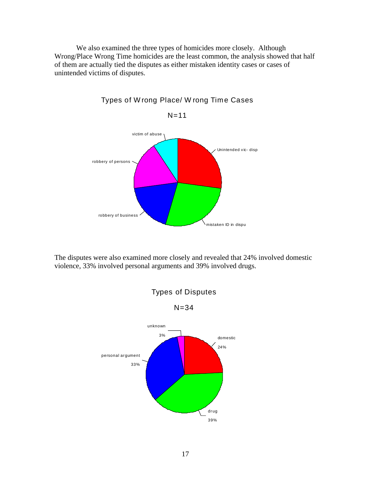We also examined the three types of homicides more closely. Although Wrong/Place Wrong Time homicides are the least common, the analysis showed that half of them are actually tied the disputes as either mistaken identity cases or cases of unintended victims of disputes.



Types of W rong Place/ W rong Time Cases

The disputes were also examined more closely and revealed that 24% involved domestic violence, 33% involved personal arguments and 39% involved drugs.

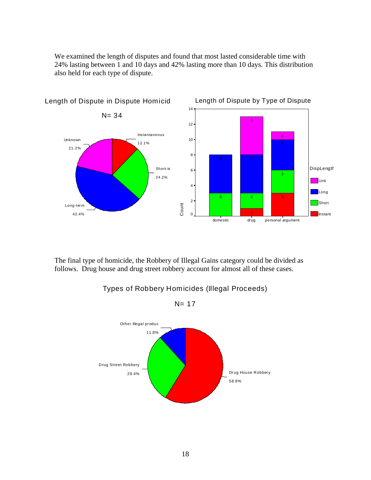We examined the length of disputes and found that most lasted considerable time with 24% lasting between 1 and 10 days and 42% lasting more than 10 days. This distribution also held for each type of dispute.



Length of Dispute in Dispute Homicid

The final type of homicide, the Robbery of Illegal Gains category could be divided as follows. Drug house and drug street robbery account for almost all of these cases.



# Types of Robbery Homicides (Illegal Proceeds)